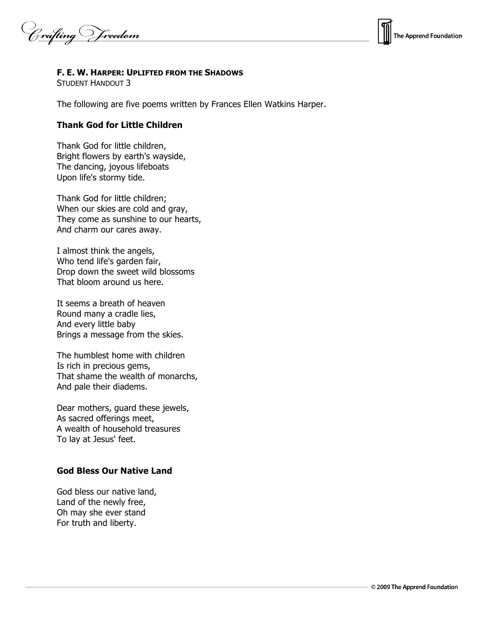Crafting Vreedom



#### **F. E. W. HARPER: UPLIFTED FROM THE SHADOWS**

STUDENT HANDOUT 3

The following are five poems written by Frances Ellen Watkins Harper.

### **Thank God for Little Children**

Thank God for little children, Bright flowers by earth's wayside, The dancing, joyous lifeboats Upon life's stormy tide.

Thank God for little children; When our skies are cold and gray, They come as sunshine to our hearts, And charm our cares away.

I almost think the angels, Who tend life's garden fair, Drop down the sweet wild blossoms That bloom around us here.

It seems a breath of heaven Round many a cradle lies, And every little baby Brings a message from the skies.

The humblest home with children Is rich in precious gems, That shame the wealth of monarchs, And pale their diadems.

Dear mothers, guard these jewels, As sacred offerings meet, A wealth of household treasures To lay at Jesus' feet.

#### **God Bless Our Native Land**

God bless our native land, Land of the newly free, Oh may she ever stand For truth and liberty.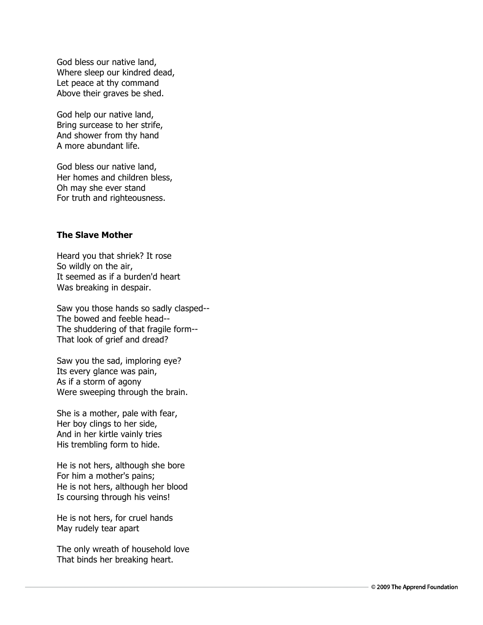God bless our native land, Where sleep our kindred dead, Let peace at thy command Above their graves be shed.

God help our native land, Bring surcease to her strife, And shower from thy hand A more abundant life.

God bless our native land, Her homes and children bless, Oh may she ever stand For truth and righteousness.

# **The Slave Mother**

Heard you that shriek? It rose So wildly on the air, It seemed as if a burden'd heart Was breaking in despair.

Saw you those hands so sadly clasped-- The bowed and feeble head-- The shuddering of that fragile form-- That look of grief and dread?

Saw you the sad, imploring eye? Its every glance was pain, As if a storm of agony Were sweeping through the brain.

She is a mother, pale with fear, Her boy clings to her side, And in her kirtle vainly tries His trembling form to hide.

He is not hers, although she bore For him a mother's pains; He is not hers, although her blood Is coursing through his veins!

He is not hers, for cruel hands May rudely tear apart

The only wreath of household love That binds her breaking heart.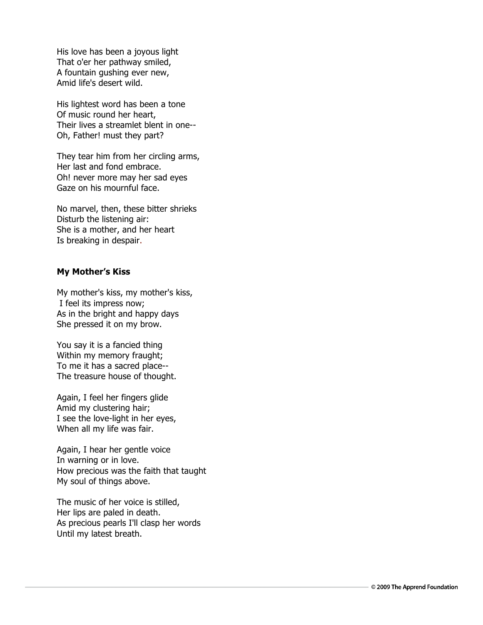His love has been a joyous light That o'er her pathway smiled, A fountain gushing ever new, Amid life's desert wild.

His lightest word has been a tone Of music round her heart, Their lives a streamlet blent in one-- Oh, Father! must they part?

They tear him from her circling arms, Her last and fond embrace. Oh! never more may her sad eyes Gaze on his mournful face.

No marvel, then, these bitter shrieks Disturb the listening air: She is a mother, and her heart Is breaking in despair.

### **My Mother's Kiss**

My mother's kiss, my mother's kiss, I feel its impress now; As in the bright and happy days She pressed it on my brow.

You say it is a fancied thing Within my memory fraught; To me it has a sacred place-- The treasure house of thought.

Again, I feel her fingers glide Amid my clustering hair; I see the love-light in her eyes, When all my life was fair.

Again, I hear her gentle voice In warning or in love. How precious was the faith that taught My soul of things above.

The music of her voice is stilled, Her lips are paled in death. As precious pearls I'll clasp her words Until my latest breath.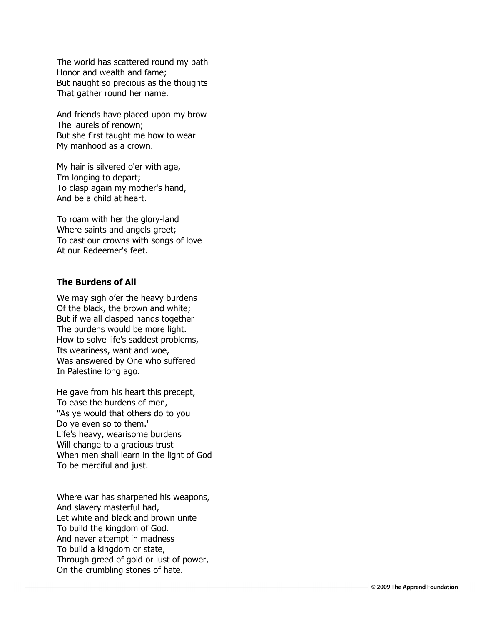The world has scattered round my path Honor and wealth and fame; But naught so precious as the thoughts That gather round her name.

And friends have placed upon my brow The laurels of renown; But she first taught me how to wear My manhood as a crown.

My hair is silvered o'er with age, I'm longing to depart; To clasp again my mother's hand, And be a child at heart.

To roam with her the glory-land Where saints and angels greet; To cast our crowns with songs of love At our Redeemer's feet.

# **The Burdens of All**

We may sigh o'er the heavy burdens Of the black, the brown and white; But if we all clasped hands together The burdens would be more light. How to solve life's saddest problems, Its weariness, want and woe, Was answered by One who suffered In Palestine long ago.

He gave from his heart this precept, To ease the burdens of men, "As ye would that others do to you Do ye even so to them." Life's heavy, wearisome burdens Will change to a gracious trust When men shall learn in the light of God To be merciful and just.

Where war has sharpened his weapons, And slavery masterful had, Let white and black and brown unite To build the kingdom of God. And never attempt in madness To build a kingdom or state, Through greed of gold or lust of power, On the crumbling stones of hate.